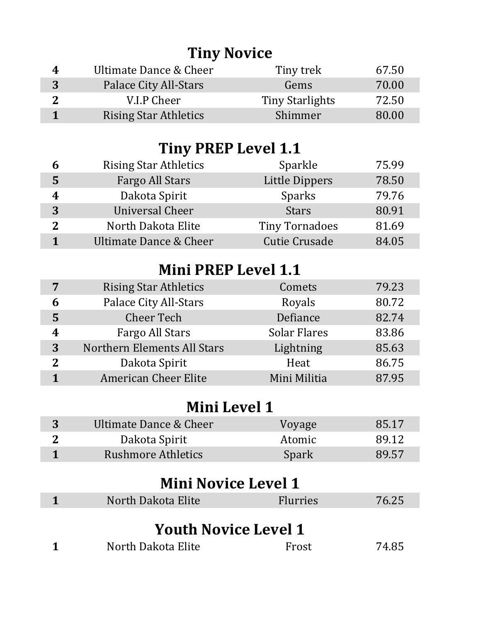# **Tiny Novice**

| 4 | Ultimate Dance & Cheer       | Tiny trek       | 67.50 |
|---|------------------------------|-----------------|-------|
| 3 | Palace City All-Stars        | Gems            | 70.00 |
|   | V.I.P Cheer                  | Tiny Starlights | 72.50 |
|   | <b>Rising Star Athletics</b> | Shimmer         | 80.00 |

## **Tiny PREP Level 1.1**

| h | <b>Rising Star Athletics</b> | Sparkle               | 75.99 |
|---|------------------------------|-----------------------|-------|
| 5 | Fargo All Stars              | <b>Little Dippers</b> | 78.50 |
| 4 | Dakota Spirit                | Sparks                | 79.76 |
| 3 | <b>Universal Cheer</b>       | <b>Stars</b>          | 80.91 |
| 2 | North Dakota Elite           | <b>Tiny Tornadoes</b> | 81.69 |
|   | Ultimate Dance & Cheer       | <b>Cutie Crusade</b>  | 84.05 |

## **Mini PREP Level 1.1**

|   | <b>Rising Star Athletics</b> | Comets              | 79.23 |
|---|------------------------------|---------------------|-------|
| 6 | <b>Palace City All-Stars</b> | Royals              | 80.72 |
| 5 | <b>Cheer Tech</b>            | Defiance            | 82.74 |
| 4 | Fargo All Stars              | <b>Solar Flares</b> | 83.86 |
| 3 | Northern Elements All Stars  | Lightning           | 85.63 |
| 2 | Dakota Spirit                | Heat                | 86.75 |
|   | <b>American Cheer Elite</b>  | Mini Militia        | 87.95 |
|   |                              |                     |       |

#### **Mini Level 1**

| Ultimate Dance & Cheer    | Voyage | 85.17 |
|---------------------------|--------|-------|
| Dakota Spirit             | Atomic | 89.12 |
| <b>Rushmore Athletics</b> | Spark  | 89.57 |

## **Mini Novice Level 1**

| North Dakota Elite | <b>Flurries</b> | 76.25 |
|--------------------|-----------------|-------|
|                    |                 |       |

#### **Youth Novice Level 1**

| North Dakota Elite | Frost | 74.85 |
|--------------------|-------|-------|
|--------------------|-------|-------|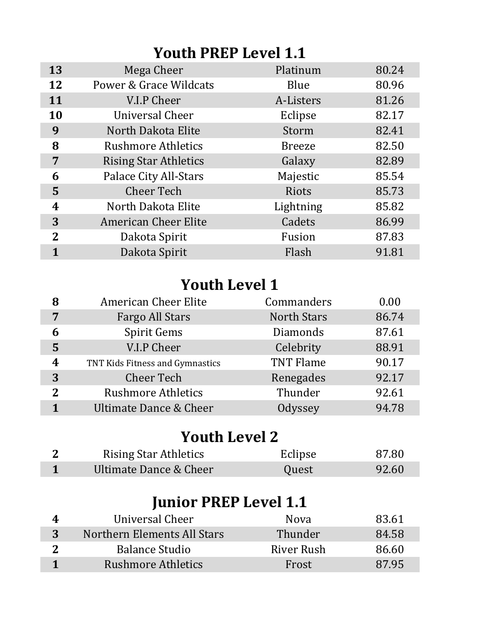### **Youth PREP Level 1.1**

| 13                      | Mega Cheer                   | Platinum      | 80.24 |
|-------------------------|------------------------------|---------------|-------|
| 12                      | Power & Grace Wildcats       | Blue          | 80.96 |
| 11                      | V.I.P Cheer                  | A-Listers     | 81.26 |
| 10                      | Universal Cheer              | Eclipse       | 82.17 |
| 9                       | North Dakota Elite           | Storm         | 82.41 |
| 8                       | <b>Rushmore Athletics</b>    | <b>Breeze</b> | 82.50 |
| 7                       | <b>Rising Star Athletics</b> | Galaxy        | 82.89 |
| 6                       | <b>Palace City All-Stars</b> | Majestic      | 85.54 |
| 5                       | <b>Cheer Tech</b>            | Riots         | 85.73 |
| $\overline{\mathbf{4}}$ | North Dakota Elite           | Lightning     | 85.82 |
| 3                       | <b>American Cheer Elite</b>  | Cadets        | 86.99 |
| $\overline{2}$          | Dakota Spirit                | Fusion        | 87.83 |
|                         | Dakota Spirit                | Flash         | 91.81 |

### **Youth Level 1**

| 8 | <b>American Cheer Elite</b>     | Commanders         | 0.00  |
|---|---------------------------------|--------------------|-------|
| 7 | <b>Fargo All Stars</b>          | <b>North Stars</b> | 86.74 |
| 6 | <b>Spirit Gems</b>              | Diamonds           | 87.61 |
| 5 | V.I.P Cheer                     | Celebrity          | 88.91 |
| 4 | TNT Kids Fitness and Gymnastics | <b>TNT Flame</b>   | 90.17 |
| 3 | <b>Cheer Tech</b>               | Renegades          | 92.17 |
| 2 | <b>Rushmore Athletics</b>       | Thunder            | 92.61 |
|   | Ultimate Dance & Cheer          | Odyssey            | 94.78 |

#### **Youth Level 2**

| <b>Rising Star Athletics</b> | Eclipse | 87.80 |
|------------------------------|---------|-------|
| Ultimate Dance & Cheer       | Quest   | 92.60 |

## **Junior PREP Level 1.1**

| Universal Cheer             | <b>Nova</b> | 83.61 |
|-----------------------------|-------------|-------|
| Northern Elements All Stars | Thunder     | 84.58 |
| <b>Balance Studio</b>       | River Rush  | 86.60 |
| <b>Rushmore Athletics</b>   | Frost       | 87.95 |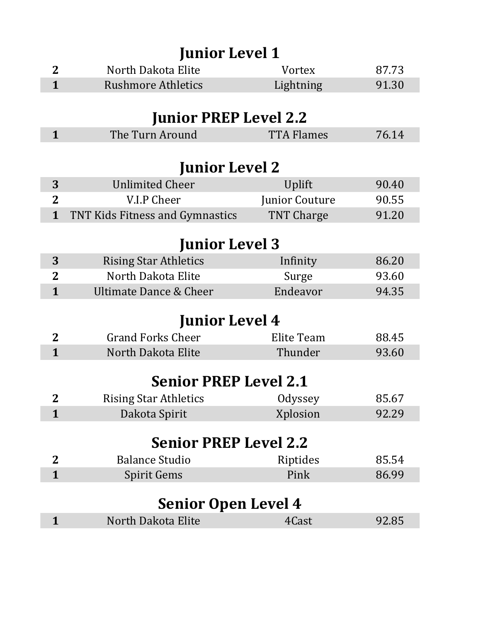| <b>Junior Level 1</b> |                                   |                       |       |  |
|-----------------------|-----------------------------------|-----------------------|-------|--|
| $\mathbf{2}$          | North Dakota Elite                | Vortex                | 87.73 |  |
| $\mathbf{1}$          | <b>Rushmore Athletics</b>         | Lightning             | 91.30 |  |
|                       |                                   |                       |       |  |
|                       | <b>Junior PREP Level 2.2</b>      |                       |       |  |
| $\mathbf{1}$          | The Turn Around                   | <b>TTA Flames</b>     | 76.14 |  |
|                       |                                   |                       |       |  |
|                       | <b>Junior Level 2</b>             |                       |       |  |
| 3                     | <b>Unlimited Cheer</b>            | Uplift                | 90.40 |  |
| $\overline{2}$        | V.I.P Cheer                       | <b>Junior Couture</b> | 90.55 |  |
| $\mathbf{1}$          | TNT Kids Fitness and Gymnastics   | <b>TNT Charge</b>     | 91.20 |  |
|                       |                                   |                       |       |  |
|                       | <b>Junior Level 3</b>             |                       |       |  |
| 3                     | <b>Rising Star Athletics</b>      | Infinity              | 86.20 |  |
| $\overline{2}$        | North Dakota Elite                | Surge                 | 93.60 |  |
| $\mathbf{1}$          | <b>Ultimate Dance &amp; Cheer</b> | Endeavor              | 94.35 |  |
|                       | <b>Junior Level 4</b>             |                       |       |  |
| $\mathbf{2}$          | <b>Grand Forks Cheer</b>          | Elite Team            | 88.45 |  |
| $\mathbf{1}$          | North Dakota Elite                | Thunder               | 93.60 |  |
|                       |                                   |                       |       |  |
|                       | <b>Senior PREP Level 2.1</b>      |                       |       |  |
| $\mathbf 2$           | <b>Rising Star Athletics</b>      | Odyssey               | 85.67 |  |
| $\mathbf{1}$          | Dakota Spirit                     | Xplosion              | 92.29 |  |
|                       |                                   |                       |       |  |
|                       | <b>Senior PREP Level 2.2</b>      |                       |       |  |
| $\mathbf{2}$          | <b>Balance Studio</b>             | Riptides              | 85.54 |  |
| $\mathbf{1}$          | <b>Spirit Gems</b>                | Pink                  | 86.99 |  |
|                       |                                   |                       |       |  |
|                       | <b>Senior Open Level 4</b>        |                       |       |  |
| $\mathbf{1}$          | North Dakota Elite                | 4Cast                 | 92.85 |  |